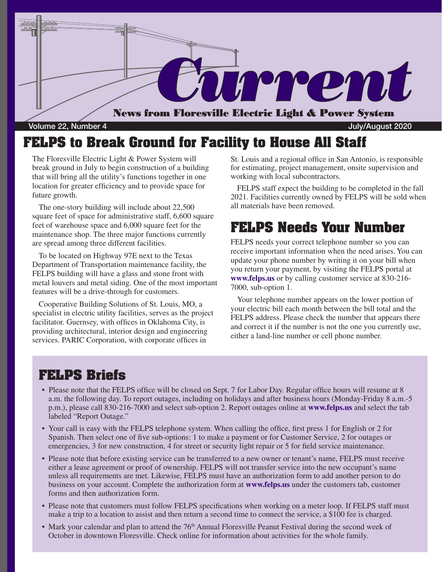

Volume 22, Number 4 July/August 2020

### **FELPS to Break Ground for Facility to House All Staff**

The Floresville Electric Light & Power System will break ground in July to begin construction of a building that will bring all the utility's functions together in one location for greater efficiency and to provide space for future growth.

The one-story building will include about 22,500 square feet of space for administrative staff, 6,600 square feet of warehouse space and 6,000 square feet for the maintenance shop. The three major functions currently are spread among three different facilities.

To be located on Highway 97E next to the Texas Department of Transportation maintenance facility, the FELPS building will have a glass and stone front with metal louvers and metal siding. One of the most important features will be a drive-through for customers.

Cooperative Building Solutions of St. Louis, MO, a specialist in electric utility facilities, serves as the project facilitator. Guernsey, with offices in Oklahoma City, is providing architectural, interior design and engineering services. PARIC Corporation, with corporate offices in

St. Louis and a regional office in San Antonio, is responsible for estimating, project management, onsite supervision and working with local subcontractors.

FELPS staff expect the building to be completed in the fall 2021. Facilities currently owned by FELPS will be sold when all materials have been removed.

## **FELPS Needs Your Number**

FELPS needs your correct telephone number so you can receive important information when the need arises. You can update your phone number by writing it on your bill when you return your payment, by visiting the FELPS portal at **www.felps.us** or by calling customer service at 830-216- 7000, sub-option 1.

Your telephone number appears on the lower portion of your electric bill each month between the bill total and the FELPS address. Please check the number that appears there and correct it if the number is not the one you currently use, either a land-line number or cell phone number.

### **FELPS Briefs**

- Please note that the FELPS office will be closed on Sept. 7 for Labor Day. Regular office hours will resume at 8 a.m. the following day. To report outages, including on holidays and after business hours (Monday-Friday 8 a.m.-5 p.m.), please call 830-216-7000 and select sub-option 2. Report outages online at **www.felps.us** and select the tab labeled "Report Outage."
- Your call is easy with the FELPS telephone system. When calling the office, first press 1 for English or 2 for Spanish. Then select one of five sub-options: 1 to make a payment or for Customer Service, 2 for outages or emergencies, 3 for new construction, 4 for street or security light repair or 5 for field service maintenance.
- Please note that before existing service can be transferred to a new owner or tenant's name, FELPS must receive either a lease agreement or proof of ownership. FELPS will not transfer service into the new occupant's name unless all requirements are met. Likewise, FELPS must have an authorization form to add another person to do business on your account. Complete the authorization form at **www.felps.us** under the customers tab, customer forms and then authorization form.
- Please note that customers must follow FELPS specifications when working on a meter loop. If FELPS staff must make a trip to a location to assist and then return a second time to connect the service, a \$100 fee is charged.
- Mark your calendar and plan to attend the 76<sup>th</sup> Annual Floresville Peanut Festival during the second week of October in downtown Floresville. Check online for information about activities for the whole family.